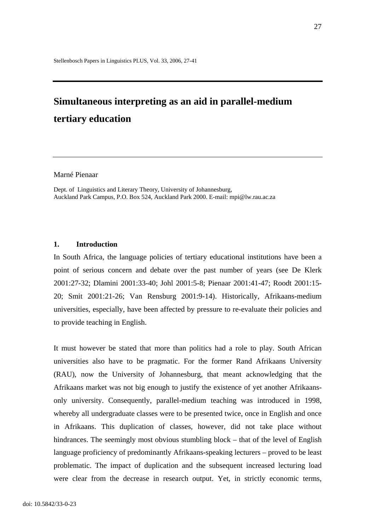# **Simultaneous interpreting as an aid in parallel-medium tertiary education**

Marné Pienaar

Dept. of Linguistics and Literary Theory, University of Johannesburg, Auckland Park Campus, P.O. Box 524, Auckland Park 2000. E-mail: mpi@lw.rau.ac.za

### **1. Introduction**

In South Africa, the language policies of tertiary educational institutions have been a point of serious concern and debate over the past number of years (see De Klerk 2001:27-32; Dlamini 2001:33-40; Johl 2001:5-8; Pienaar 2001:41-47; Roodt 2001:15- 20; Smit 2001:21-26; Van Rensburg 2001:9-14). Historically, Afrikaans-medium universities, especially, have been affected by pressure to re-evaluate their policies and to provide teaching in English.

It must however be stated that more than politics had a role to play. South African universities also have to be pragmatic. For the former Rand Afrikaans University (RAU), now the University of Johannesburg, that meant acknowledging that the Afrikaans market was not big enough to justify the existence of yet another Afrikaansonly university. Consequently, parallel-medium teaching was introduced in 1998, whereby all undergraduate classes were to be presented twice, once in English and once in Afrikaans. This duplication of classes, however, did not take place without hindrances. The seemingly most obvious stumbling block – that of the level of English language proficiency of predominantly Afrikaans-speaking lecturers – proved to be least problematic. The impact of duplication and the subsequent increased lecturing load were clear from the decrease in research output. Yet, in strictly economic terms,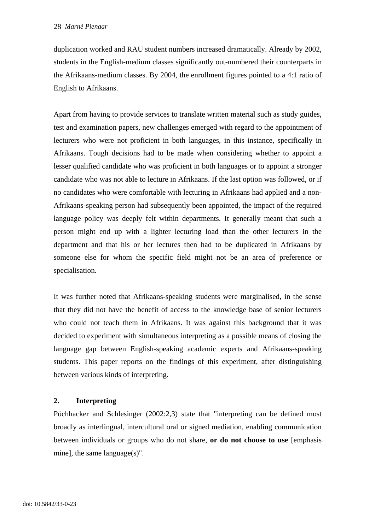duplication worked and RAU student numbers increased dramatically. Already by 2002, students in the English-medium classes significantly out-numbered their counterparts in the Afrikaans-medium classes. By 2004, the enrollment figures pointed to a 4:1 ratio of English to Afrikaans.

Apart from having to provide services to translate written material such as study guides, test and examination papers, new challenges emerged with regard to the appointment of lecturers who were not proficient in both languages, in this instance, specifically in Afrikaans. Tough decisions had to be made when considering whether to appoint a lesser qualified candidate who was proficient in both languages or to appoint a stronger candidate who was not able to lecture in Afrikaans. If the last option was followed, or if no candidates who were comfortable with lecturing in Afrikaans had applied and a non-Afrikaans-speaking person had subsequently been appointed, the impact of the required language policy was deeply felt within departments. It generally meant that such a person might end up with a lighter lecturing load than the other lecturers in the department and that his or her lectures then had to be duplicated in Afrikaans by someone else for whom the specific field might not be an area of preference or specialisation.

It was further noted that Afrikaans-speaking students were marginalised, in the sense that they did not have the benefit of access to the knowledge base of senior lecturers who could not teach them in Afrikaans. It was against this background that it was decided to experiment with simultaneous interpreting as a possible means of closing the language gap between English-speaking academic experts and Afrikaans-speaking students. This paper reports on the findings of this experiment, after distinguishing between various kinds of interpreting.

# **2. Interpreting**

Pöchhacker and Schlesinger (2002:2,3) state that "interpreting can be defined most broadly as interlingual, intercultural oral or signed mediation, enabling communication between individuals or groups who do not share, **or do not choose to use** [emphasis mine], the same language(s)".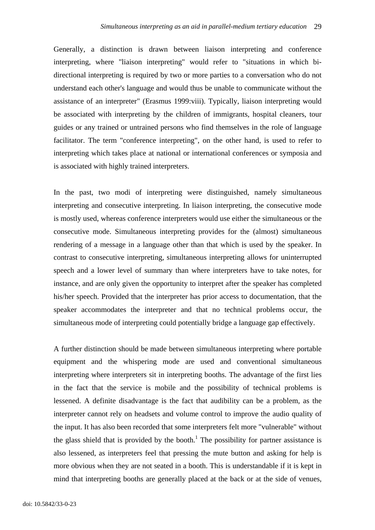Generally, a distinction is drawn between liaison interpreting and conference interpreting, where "liaison interpreting" would refer to "situations in which bidirectional interpreting is required by two or more parties to a conversation who do not understand each other's language and would thus be unable to communicate without the assistance of an interpreter" (Erasmus 1999:viii). Typically, liaison interpreting would be associated with interpreting by the children of immigrants, hospital cleaners, tour guides or any trained or untrained persons who find themselves in the role of language facilitator. The term "conference interpreting", on the other hand, is used to refer to interpreting which takes place at national or international conferences or symposia and is associated with highly trained interpreters.

In the past, two modi of interpreting were distinguished, namely simultaneous interpreting and consecutive interpreting. In liaison interpreting, the consecutive mode is mostly used, whereas conference interpreters would use either the simultaneous or the consecutive mode. Simultaneous interpreting provides for the (almost) simultaneous rendering of a message in a language other than that which is used by the speaker. In contrast to consecutive interpreting, simultaneous interpreting allows for uninterrupted speech and a lower level of summary than where interpreters have to take notes, for instance, and are only given the opportunity to interpret after the speaker has completed his/her speech. Provided that the interpreter has prior access to documentation, that the speaker accommodates the interpreter and that no technical problems occur, the simultaneous mode of interpreting could potentially bridge a language gap effectively.

A further distinction should be made between simultaneous interpreting where portable equipment and the whispering mode are used and conventional simultaneous interpreting where interpreters sit in interpreting booths. The advantage of the first lies in the fact that the service is mobile and the possibility of technical problems is lessened. A definite disadvantage is the fact that audibility can be a problem, as the interpreter cannot rely on headsets and volume control to improve the audio quality of the input. It has also been recorded that some interpreters felt more "vulnerable" without the glass shield that is provided by the booth.<sup>1</sup> The possibility for partner assistance is also lessened, as interpreters feel that pressing the mute button and asking for help is more obvious when they are not seated in a booth. This is understandable if it is kept in mind that interpreting booths are generally placed at the back or at the side of venues,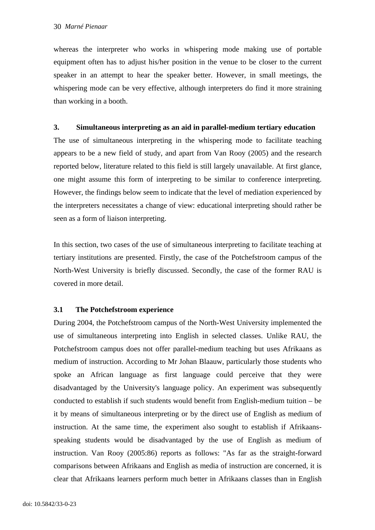whereas the interpreter who works in whispering mode making use of portable equipment often has to adjust his/her position in the venue to be closer to the current speaker in an attempt to hear the speaker better. However, in small meetings, the whispering mode can be very effective, although interpreters do find it more straining than working in a booth.

#### **3. Simultaneous interpreting as an aid in parallel-medium tertiary education**

The use of simultaneous interpreting in the whispering mode to facilitate teaching appears to be a new field of study, and apart from Van Rooy (2005) and the research reported below, literature related to this field is still largely unavailable. At first glance, one might assume this form of interpreting to be similar to conference interpreting. However, the findings below seem to indicate that the level of mediation experienced by the interpreters necessitates a change of view: educational interpreting should rather be seen as a form of liaison interpreting.

In this section, two cases of the use of simultaneous interpreting to facilitate teaching at tertiary institutions are presented. Firstly, the case of the Potchefstroom campus of the North-West University is briefly discussed. Secondly, the case of the former RAU is covered in more detail.

## **3.1 The Potchefstroom experience**

During 2004, the Potchefstroom campus of the North-West University implemented the use of simultaneous interpreting into English in selected classes. Unlike RAU, the Potchefstroom campus does not offer parallel-medium teaching but uses Afrikaans as medium of instruction. According to Mr Johan Blaauw, particularly those students who spoke an African language as first language could perceive that they were disadvantaged by the University's language policy. An experiment was subsequently conducted to establish if such students would benefit from English-medium tuition – be it by means of simultaneous interpreting or by the direct use of English as medium of instruction. At the same time, the experiment also sought to establish if Afrikaansspeaking students would be disadvantaged by the use of English as medium of instruction. Van Rooy (2005:86) reports as follows: "As far as the straight-forward comparisons between Afrikaans and English as media of instruction are concerned, it is clear that Afrikaans learners perform much better in Afrikaans classes than in English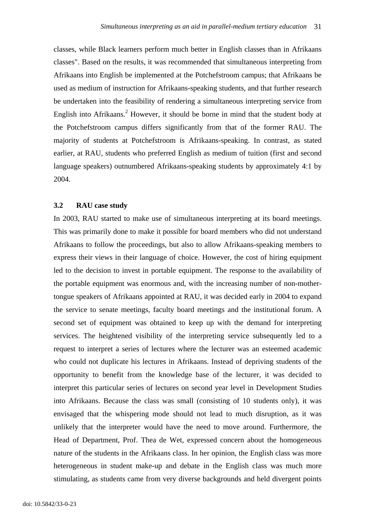classes, while Black learners perform much better in English classes than in Afrikaans classes". Based on the results, it was recommended that simultaneous interpreting from Afrikaans into English be implemented at the Potchefstroom campus; that Afrikaans be used as medium of instruction for Afrikaans-speaking students, and that further research be undertaken into the feasibility of rendering a simultaneous interpreting service from English into Afrikaans.<sup>2</sup> However, it should be borne in mind that the student body at the Potchefstroom campus differs significantly from that of the former RAU. The majority of students at Potchefstroom is Afrikaans-speaking. In contrast, as stated earlier, at RAU, students who preferred English as medium of tuition (first and second language speakers) outnumbered Afrikaans-speaking students by approximately 4:1 by 2004.

#### **3.2 RAU case study**

In 2003, RAU started to make use of simultaneous interpreting at its board meetings. This was primarily done to make it possible for board members who did not understand Afrikaans to follow the proceedings, but also to allow Afrikaans-speaking members to express their views in their language of choice. However, the cost of hiring equipment led to the decision to invest in portable equipment. The response to the availability of the portable equipment was enormous and, with the increasing number of non-mothertongue speakers of Afrikaans appointed at RAU, it was decided early in 2004 to expand the service to senate meetings, faculty board meetings and the institutional forum. A second set of equipment was obtained to keep up with the demand for interpreting services. The heightened visibility of the interpreting service subsequently led to a request to interpret a series of lectures where the lecturer was an esteemed academic who could not duplicate his lectures in Afrikaans. Instead of depriving students of the opportunity to benefit from the knowledge base of the lecturer, it was decided to interpret this particular series of lectures on second year level in Development Studies into Afrikaans. Because the class was small (consisting of 10 students only), it was envisaged that the whispering mode should not lead to much disruption, as it was unlikely that the interpreter would have the need to move around. Furthermore, the Head of Department, Prof. Thea de Wet, expressed concern about the homogeneous nature of the students in the Afrikaans class. In her opinion, the English class was more heterogeneous in student make-up and debate in the English class was much more stimulating, as students came from very diverse backgrounds and held divergent points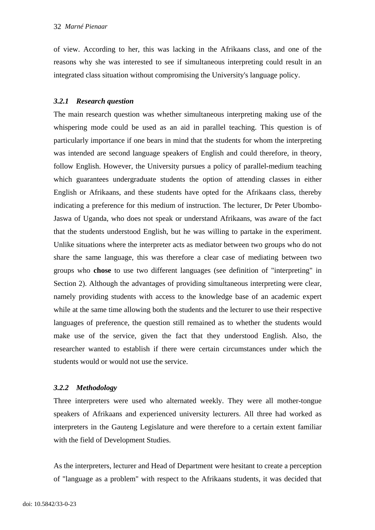of view. According to her, this was lacking in the Afrikaans class, and one of the reasons why she was interested to see if simultaneous interpreting could result in an integrated class situation without compromising the University's language policy.

## *3.2.1 Research question*

The main research question was whether simultaneous interpreting making use of the whispering mode could be used as an aid in parallel teaching. This question is of particularly importance if one bears in mind that the students for whom the interpreting was intended are second language speakers of English and could therefore, in theory, follow English. However, the University pursues a policy of parallel-medium teaching which guarantees undergraduate students the option of attending classes in either English or Afrikaans, and these students have opted for the Afrikaans class, thereby indicating a preference for this medium of instruction. The lecturer, Dr Peter Ubombo-Jaswa of Uganda, who does not speak or understand Afrikaans, was aware of the fact that the students understood English, but he was willing to partake in the experiment. Unlike situations where the interpreter acts as mediator between two groups who do not share the same language, this was therefore a clear case of mediating between two groups who **chose** to use two different languages (see definition of "interpreting" in Section 2). Although the advantages of providing simultaneous interpreting were clear, namely providing students with access to the knowledge base of an academic expert while at the same time allowing both the students and the lecturer to use their respective languages of preference, the question still remained as to whether the students would make use of the service, given the fact that they understood English. Also, the researcher wanted to establish if there were certain circumstances under which the students would or would not use the service.

## *3.2.2 Methodology*

Three interpreters were used who alternated weekly. They were all mother-tongue speakers of Afrikaans and experienced university lecturers. All three had worked as interpreters in the Gauteng Legislature and were therefore to a certain extent familiar with the field of Development Studies.

As the interpreters, lecturer and Head of Department were hesitant to create a perception of "language as a problem" with respect to the Afrikaans students, it was decided that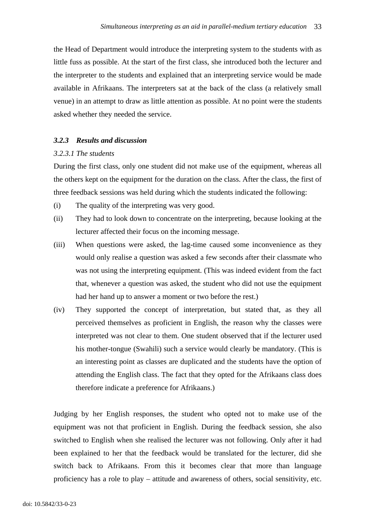the Head of Department would introduce the interpreting system to the students with as little fuss as possible. At the start of the first class, she introduced both the lecturer and the interpreter to the students and explained that an interpreting service would be made available in Afrikaans. The interpreters sat at the back of the class (a relatively small venue) in an attempt to draw as little attention as possible. At no point were the students asked whether they needed the service.

## *3.2.3 Results and discussion*

## *3.2.3.1 The students*

During the first class, only one student did not make use of the equipment, whereas all the others kept on the equipment for the duration on the class. After the class, the first of three feedback sessions was held during which the students indicated the following:

- (i) The quality of the interpreting was very good.
- (ii) They had to look down to concentrate on the interpreting, because looking at the lecturer affected their focus on the incoming message.
- (iii) When questions were asked, the lag-time caused some inconvenience as they would only realise a question was asked a few seconds after their classmate who was not using the interpreting equipment. (This was indeed evident from the fact that, whenever a question was asked, the student who did not use the equipment had her hand up to answer a moment or two before the rest.)
- (iv) They supported the concept of interpretation, but stated that, as they all perceived themselves as proficient in English, the reason why the classes were interpreted was not clear to them. One student observed that if the lecturer used his mother-tongue (Swahili) such a service would clearly be mandatory. (This is an interesting point as classes are duplicated and the students have the option of attending the English class. The fact that they opted for the Afrikaans class does therefore indicate a preference for Afrikaans.)

Judging by her English responses, the student who opted not to make use of the equipment was not that proficient in English. During the feedback session, she also switched to English when she realised the lecturer was not following. Only after it had been explained to her that the feedback would be translated for the lecturer, did she switch back to Afrikaans. From this it becomes clear that more than language proficiency has a role to play – attitude and awareness of others, social sensitivity, etc.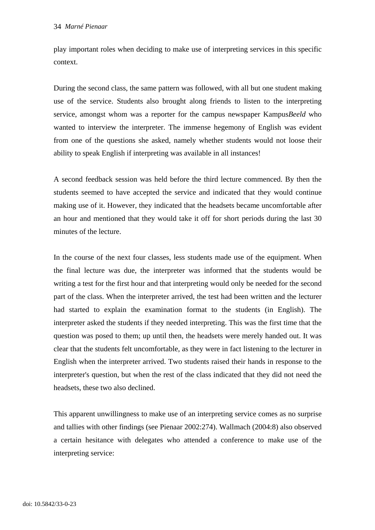play important roles when deciding to make use of interpreting services in this specific context.

During the second class, the same pattern was followed, with all but one student making use of the service. Students also brought along friends to listen to the interpreting service, amongst whom was a reporter for the campus newspaper Kampus*Beeld* who wanted to interview the interpreter. The immense hegemony of English was evident from one of the questions she asked, namely whether students would not loose their ability to speak English if interpreting was available in all instances!

A second feedback session was held before the third lecture commenced. By then the students seemed to have accepted the service and indicated that they would continue making use of it. However, they indicated that the headsets became uncomfortable after an hour and mentioned that they would take it off for short periods during the last 30 minutes of the lecture.

In the course of the next four classes, less students made use of the equipment. When the final lecture was due, the interpreter was informed that the students would be writing a test for the first hour and that interpreting would only be needed for the second part of the class. When the interpreter arrived, the test had been written and the lecturer had started to explain the examination format to the students (in English). The interpreter asked the students if they needed interpreting. This was the first time that the question was posed to them; up until then, the headsets were merely handed out. It was clear that the students felt uncomfortable, as they were in fact listening to the lecturer in English when the interpreter arrived. Two students raised their hands in response to the interpreter's question, but when the rest of the class indicated that they did not need the headsets, these two also declined.

This apparent unwillingness to make use of an interpreting service comes as no surprise and tallies with other findings (see Pienaar 2002:274). Wallmach (2004:8) also observed a certain hesitance with delegates who attended a conference to make use of the interpreting service: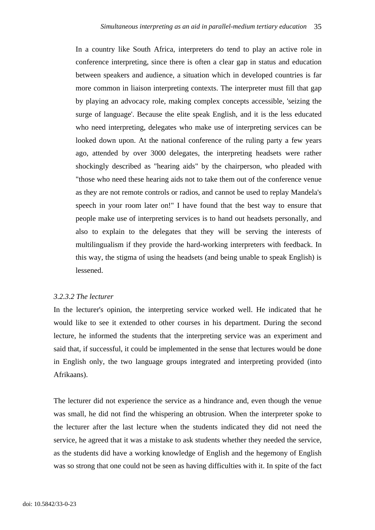In a country like South Africa, interpreters do tend to play an active role in conference interpreting, since there is often a clear gap in status and education between speakers and audience, a situation which in developed countries is far more common in liaison interpreting contexts. The interpreter must fill that gap by playing an advocacy role, making complex concepts accessible, 'seizing the surge of language'. Because the elite speak English, and it is the less educated who need interpreting, delegates who make use of interpreting services can be looked down upon. At the national conference of the ruling party a few years ago, attended by over 3000 delegates, the interpreting headsets were rather shockingly described as "hearing aids" by the chairperson, who pleaded with "those who need these hearing aids not to take them out of the conference venue as they are not remote controls or radios, and cannot be used to replay Mandela's speech in your room later on!" I have found that the best way to ensure that people make use of interpreting services is to hand out headsets personally, and also to explain to the delegates that they will be serving the interests of multilingualism if they provide the hard-working interpreters with feedback. In this way, the stigma of using the headsets (and being unable to speak English) is lessened.

#### *3.2.3.2 The lecturer*

In the lecturer's opinion, the interpreting service worked well. He indicated that he would like to see it extended to other courses in his department. During the second lecture, he informed the students that the interpreting service was an experiment and said that, if successful, it could be implemented in the sense that lectures would be done in English only, the two language groups integrated and interpreting provided (into Afrikaans).

The lecturer did not experience the service as a hindrance and, even though the venue was small, he did not find the whispering an obtrusion. When the interpreter spoke to the lecturer after the last lecture when the students indicated they did not need the service, he agreed that it was a mistake to ask students whether they needed the service, as the students did have a working knowledge of English and the hegemony of English was so strong that one could not be seen as having difficulties with it. In spite of the fact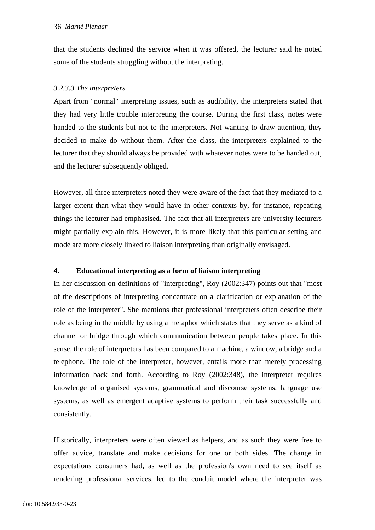that the students declined the service when it was offered, the lecturer said he noted some of the students struggling without the interpreting.

# *3.2.3.3 The interpreters*

Apart from "normal" interpreting issues, such as audibility, the interpreters stated that they had very little trouble interpreting the course. During the first class, notes were handed to the students but not to the interpreters. Not wanting to draw attention, they decided to make do without them. After the class, the interpreters explained to the lecturer that they should always be provided with whatever notes were to be handed out, and the lecturer subsequently obliged.

However, all three interpreters noted they were aware of the fact that they mediated to a larger extent than what they would have in other contexts by, for instance, repeating things the lecturer had emphasised. The fact that all interpreters are university lecturers might partially explain this. However, it is more likely that this particular setting and mode are more closely linked to liaison interpreting than originally envisaged.

# **4. Educational interpreting as a form of liaison interpreting**

In her discussion on definitions of "interpreting", Roy (2002:347) points out that "most of the descriptions of interpreting concentrate on a clarification or explanation of the role of the interpreter". She mentions that professional interpreters often describe their role as being in the middle by using a metaphor which states that they serve as a kind of channel or bridge through which communication between people takes place. In this sense, the role of interpreters has been compared to a machine, a window, a bridge and a telephone. The role of the interpreter, however, entails more than merely processing information back and forth. According to Roy (2002:348), the interpreter requires knowledge of organised systems, grammatical and discourse systems, language use systems, as well as emergent adaptive systems to perform their task successfully and consistently.

Historically, interpreters were often viewed as helpers, and as such they were free to offer advice, translate and make decisions for one or both sides. The change in expectations consumers had, as well as the profession's own need to see itself as rendering professional services, led to the conduit model where the interpreter was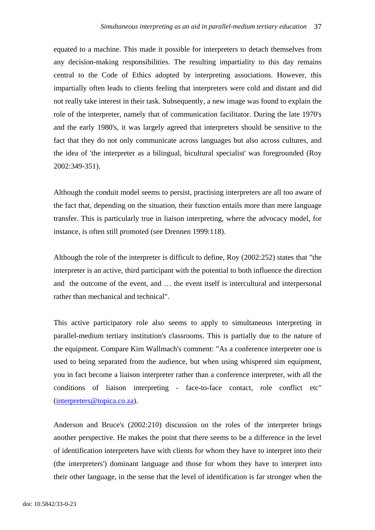equated to a machine. This made it possible for interpreters to detach themselves from any decision-making responsibilities. The resulting impartiality to this day remains central to the Code of Ethics adopted by interpreting associations. However, this impartially often leads to clients feeling that interpreters were cold and distant and did not really take interest in their task. Subsequently, a new image was found to explain the role of the interpreter, namely that of communication facilitator. During the late 1970's and the early 1980's, it was largely agreed that interpreters should be sensitive to the fact that they do not only communicate across languages but also across cultures, and the idea of 'the interpreter as a bilingual, bicultural specialist' was foregrounded (Roy 2002:349-351).

Although the conduit model seems to persist, practising interpreters are all too aware of the fact that, depending on the situation, their function entails more than mere language transfer. This is particularly true in liaison interpreting, where the advocacy model, for instance, is often still promoted (see Drennen 1999:118).

Although the role of the interpreter is difficult to define, Roy (2002:252) states that "the interpreter is an active, third participant with the potential to both influence the direction and the outcome of the event, and … the event itself is intercultural and interpersonal rather than mechanical and technical".

This active participatory role also seems to apply to simultaneous interpreting in parallel-medium tertiary institution's classrooms. This is partially due to the nature of the equipment. Compare Kim Wallmach's comment: "As a conference interpreter one is used to being separated from the audience, but when using whispered sim equipment, you in fact become a liaison interpreter rather than a conference interpreter, with all the conditions of liaison interpreting - face-to-face contact, role conflict etc" (interpreters@topica.co.za).

Anderson and Bruce's (2002:210) discussion on the roles of the interpreter brings another perspective. He makes the point that there seems to be a difference in the level of identification interpreters have with clients for whom they have to interpret into their (the interpreters') dominant language and those for whom they have to interpret into their other language, in the sense that the level of identification is far stronger when the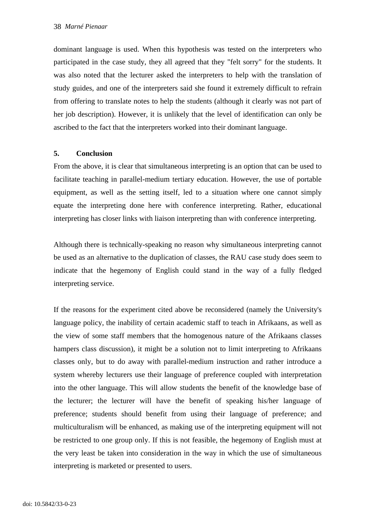dominant language is used. When this hypothesis was tested on the interpreters who participated in the case study, they all agreed that they "felt sorry" for the students. It was also noted that the lecturer asked the interpreters to help with the translation of study guides, and one of the interpreters said she found it extremely difficult to refrain from offering to translate notes to help the students (although it clearly was not part of her job description). However, it is unlikely that the level of identification can only be ascribed to the fact that the interpreters worked into their dominant language.

## **5. Conclusion**

From the above, it is clear that simultaneous interpreting is an option that can be used to facilitate teaching in parallel-medium tertiary education. However, the use of portable equipment, as well as the setting itself, led to a situation where one cannot simply equate the interpreting done here with conference interpreting. Rather, educational interpreting has closer links with liaison interpreting than with conference interpreting.

Although there is technically-speaking no reason why simultaneous interpreting cannot be used as an alternative to the duplication of classes, the RAU case study does seem to indicate that the hegemony of English could stand in the way of a fully fledged interpreting service.

If the reasons for the experiment cited above be reconsidered (namely the University's language policy, the inability of certain academic staff to teach in Afrikaans, as well as the view of some staff members that the homogenous nature of the Afrikaans classes hampers class discussion), it might be a solution not to limit interpreting to Afrikaans classes only, but to do away with parallel-medium instruction and rather introduce a system whereby lecturers use their language of preference coupled with interpretation into the other language. This will allow students the benefit of the knowledge base of the lecturer; the lecturer will have the benefit of speaking his/her language of preference; students should benefit from using their language of preference; and multiculturalism will be enhanced, as making use of the interpreting equipment will not be restricted to one group only. If this is not feasible, the hegemony of English must at the very least be taken into consideration in the way in which the use of simultaneous interpreting is marketed or presented to users.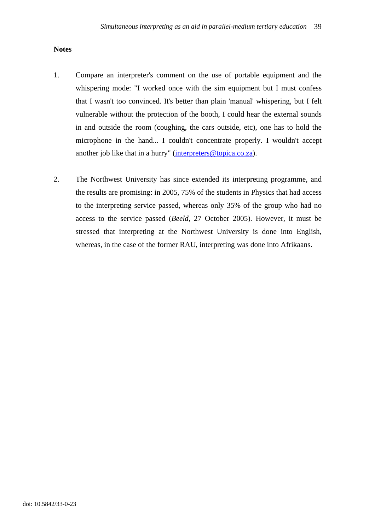## **Notes**

- 1. Compare an interpreter's comment on the use of portable equipment and the whispering mode: "I worked once with the sim equipment but I must confess that I wasn't too convinced. It's better than plain 'manual' whispering, but I felt vulnerable without the protection of the booth, I could hear the external sounds in and outside the room (coughing, the cars outside, etc), one has to hold the microphone in the hand... I couldn't concentrate properly. I wouldn't accept another job like that in a hurry" (interpreters@topica.co.za).
- 2. The Northwest University has since extended its interpreting programme, and the results are promising: in 2005, 75% of the students in Physics that had access to the interpreting service passed, whereas only 35% of the group who had no access to the service passed (*Beeld,* 27 October 2005). However, it must be stressed that interpreting at the Northwest University is done into English, whereas, in the case of the former RAU, interpreting was done into Afrikaans.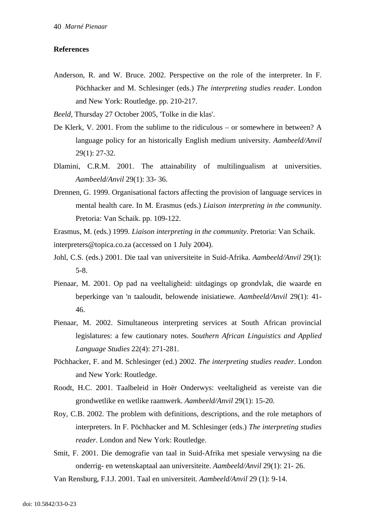#### **References**

- Anderson, R. and W. Bruce. 2002. Perspective on the role of the interpreter. In F. Pöchhacker and M. Schlesinger (eds.) *The interpreting studies reader*. London and New York: Routledge. pp. 210-217.
- *Beeld,* Thursday 27 October 2005, 'Tolke in die klas'.
- De Klerk, V. 2001. From the sublime to the ridiculous or somewhere in between? A language policy for an historically English medium university. *Aambeeld/Anvil* 29(1): 27-32.
- Dlamini, C.R.M. 2001. The attainability of multilingualism at universities. *Aambeeld/Anvil* 29(1): 33- 36.
- Drennen, G. 1999. Organisational factors affecting the provision of language services in mental health care. In M. Erasmus (eds.) *Liaison interpreting in the community*. Pretoria: Van Schaik. pp. 109-122.

Erasmus, M. (eds.) 1999. *Liaison interpreting in the community*. Pretoria: Van Schaik. interpreters@topica.co.za (accessed on 1 July 2004).

- Johl, C.S. (eds.) 2001. Die taal van universiteite in Suid-Afrika. *Aambeeld/Anvil* 29(1): 5-8.
- Pienaar, M. 2001. Op pad na veeltaligheid: uitdagings op grondvlak, die waarde en beperkinge van 'n taaloudit, belowende inisiatiewe. *Aambeeld/Anvil* 29(1): 41- 46.
- Pienaar, M. 2002. Simultaneous interpreting services at South African provincial legislatures: a few cautionary notes. *Southern African Linguistics and Applied Language Studies* 22(4): 271-281.
- Pöchhacker, F. and M. Schlesinger (ed.) 2002. *The interpreting studies reader*. London and New York: Routledge.
- Roodt, H.C. 2001. Taalbeleid in Hoër Onderwys: veeltaligheid as vereiste van die grondwetlike en wetlike raamwerk. *Aambeeld/Anvil* 29(1): 15-20.
- Roy, C.B. 2002. The problem with definitions, descriptions, and the role metaphors of interpreters. In F. Pöchhacker and M. Schlesinger (eds.) *The interpreting studies reader*. London and New York: Routledge.
- Smit, F. 2001. Die demografie van taal in Suid-Afrika met spesiale verwysing na die onderrig- en wetenskaptaal aan universiteite. *Aambeeld/Anvil* 29(1): 21- 26.

Van Rensburg, F.I.J. 2001. Taal en universiteit. *Aambeeld/Anvil* 29 (1): 9-14.